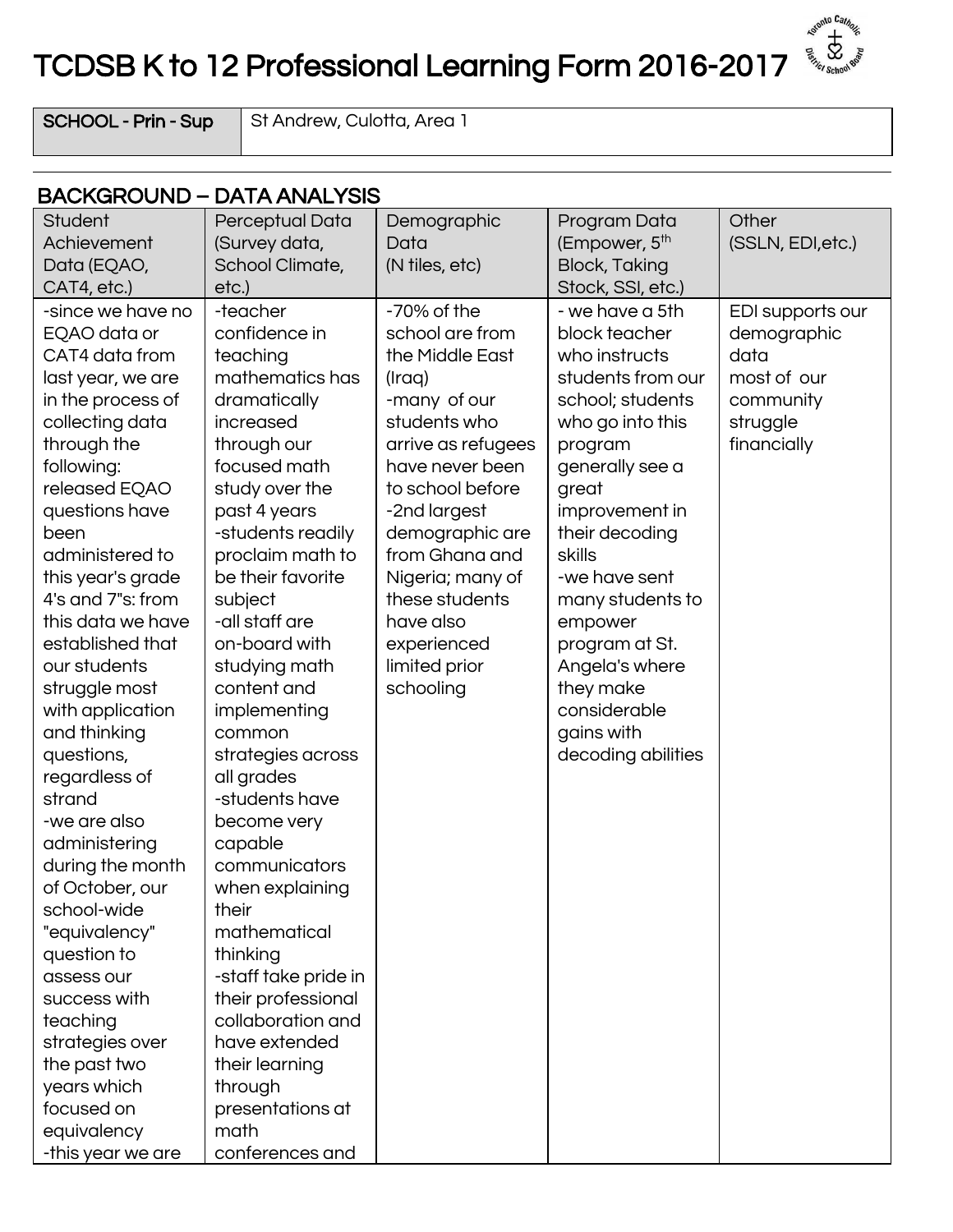## TCDSB K to 12 Professional Learning Form 2016-2017

**Agriculto Catholic Review And Agriculture** 

 $SCHOOL - Prin - Sup$  St Andrew, Culotta, Area 1

| Student<br>Perceptual Data<br>Other<br>Demographic<br>Program Data<br>(Empower, 5 <sup>th</sup><br>Achievement<br>(Survey data,<br>(SSLN, EDI, etc.)<br>Data<br><b>Block, Taking</b><br>School Climate,<br>(N tiles, etc)<br>Data (EQAO,<br>etc.)<br>Stock, SSI, etc.)<br>CAT4, etc.)<br>$-70\%$ of the<br>- we have a 5th<br>-since we have no<br>-teacher<br>EDI supports our<br>school are from<br>confidence in<br>block teacher<br>demographic<br>EQAO data or<br>CAT4 data from<br>teaching<br>the Middle East<br>who instructs<br>data<br>mathematics has<br>students from our<br>most of our<br>last year, we are<br>(Iraq)<br>dramatically<br>school; students<br>in the process of<br>-many of our<br>community<br>students who<br>increased<br>struggle<br>collecting data<br>who go into this<br>through the<br>through our<br>arrive as refugees<br>financially<br>program<br>following:<br>focused math<br>have never been<br>generally see a<br>to school before<br>released EQAO<br>study over the<br>great<br>past 4 years<br>-2nd largest<br>improvement in<br>questions have<br>-students readily<br>demographic are<br>their decoding<br>been<br>from Ghana and<br>administered to<br>proclaim math to<br>skills<br>be their favorite<br>Nigeria; many of<br>this year's grade<br>-we have sent<br>4's and 7"s: from<br>subject<br>these students<br>many students to<br>this data we have<br>-all staff are<br>have also<br>empower<br>established that<br>on-board with<br>program at St.<br>experienced<br>our students<br>studying math<br>limited prior<br>Angela's where<br>struggle most<br>content and<br>schooling<br>they make<br>considerable<br>with application<br>implementing<br>and thinking<br>gains with<br>common<br>decoding abilities<br>questions,<br>strategies across<br>all grades<br>regardless of<br>strand<br>-students have<br>-we are also<br>become very<br>administering<br>capable<br>during the month<br>communicators<br>of October, our<br>when explaining<br>school-wide<br>their<br>mathematical<br>"equivalency"<br>thinking<br>question to<br>-staff take pride in<br>assess our<br>their professional<br>success with |          | <b>BACKGROUND - DATA ANALYSIS</b> |  |  |
|------------------------------------------------------------------------------------------------------------------------------------------------------------------------------------------------------------------------------------------------------------------------------------------------------------------------------------------------------------------------------------------------------------------------------------------------------------------------------------------------------------------------------------------------------------------------------------------------------------------------------------------------------------------------------------------------------------------------------------------------------------------------------------------------------------------------------------------------------------------------------------------------------------------------------------------------------------------------------------------------------------------------------------------------------------------------------------------------------------------------------------------------------------------------------------------------------------------------------------------------------------------------------------------------------------------------------------------------------------------------------------------------------------------------------------------------------------------------------------------------------------------------------------------------------------------------------------------------------------------------------------------------------------------------------------------------------------------------------------------------------------------------------------------------------------------------------------------------------------------------------------------------------------------------------------------------------------------------------------------------------------------------------------------------------------------------------------------------------------------------------------------------------------------------------------|----------|-----------------------------------|--|--|
|                                                                                                                                                                                                                                                                                                                                                                                                                                                                                                                                                                                                                                                                                                                                                                                                                                                                                                                                                                                                                                                                                                                                                                                                                                                                                                                                                                                                                                                                                                                                                                                                                                                                                                                                                                                                                                                                                                                                                                                                                                                                                                                                                                                    |          |                                   |  |  |
|                                                                                                                                                                                                                                                                                                                                                                                                                                                                                                                                                                                                                                                                                                                                                                                                                                                                                                                                                                                                                                                                                                                                                                                                                                                                                                                                                                                                                                                                                                                                                                                                                                                                                                                                                                                                                                                                                                                                                                                                                                                                                                                                                                                    |          |                                   |  |  |
|                                                                                                                                                                                                                                                                                                                                                                                                                                                                                                                                                                                                                                                                                                                                                                                                                                                                                                                                                                                                                                                                                                                                                                                                                                                                                                                                                                                                                                                                                                                                                                                                                                                                                                                                                                                                                                                                                                                                                                                                                                                                                                                                                                                    |          |                                   |  |  |
|                                                                                                                                                                                                                                                                                                                                                                                                                                                                                                                                                                                                                                                                                                                                                                                                                                                                                                                                                                                                                                                                                                                                                                                                                                                                                                                                                                                                                                                                                                                                                                                                                                                                                                                                                                                                                                                                                                                                                                                                                                                                                                                                                                                    |          |                                   |  |  |
| have extended<br>strategies over<br>their learning<br>the past two<br>years which<br>through<br>focused on<br>presentations at<br>equivalency<br>math                                                                                                                                                                                                                                                                                                                                                                                                                                                                                                                                                                                                                                                                                                                                                                                                                                                                                                                                                                                                                                                                                                                                                                                                                                                                                                                                                                                                                                                                                                                                                                                                                                                                                                                                                                                                                                                                                                                                                                                                                              | teaching | collaboration and                 |  |  |
| conferences and<br>-this year we are                                                                                                                                                                                                                                                                                                                                                                                                                                                                                                                                                                                                                                                                                                                                                                                                                                                                                                                                                                                                                                                                                                                                                                                                                                                                                                                                                                                                                                                                                                                                                                                                                                                                                                                                                                                                                                                                                                                                                                                                                                                                                                                                               |          |                                   |  |  |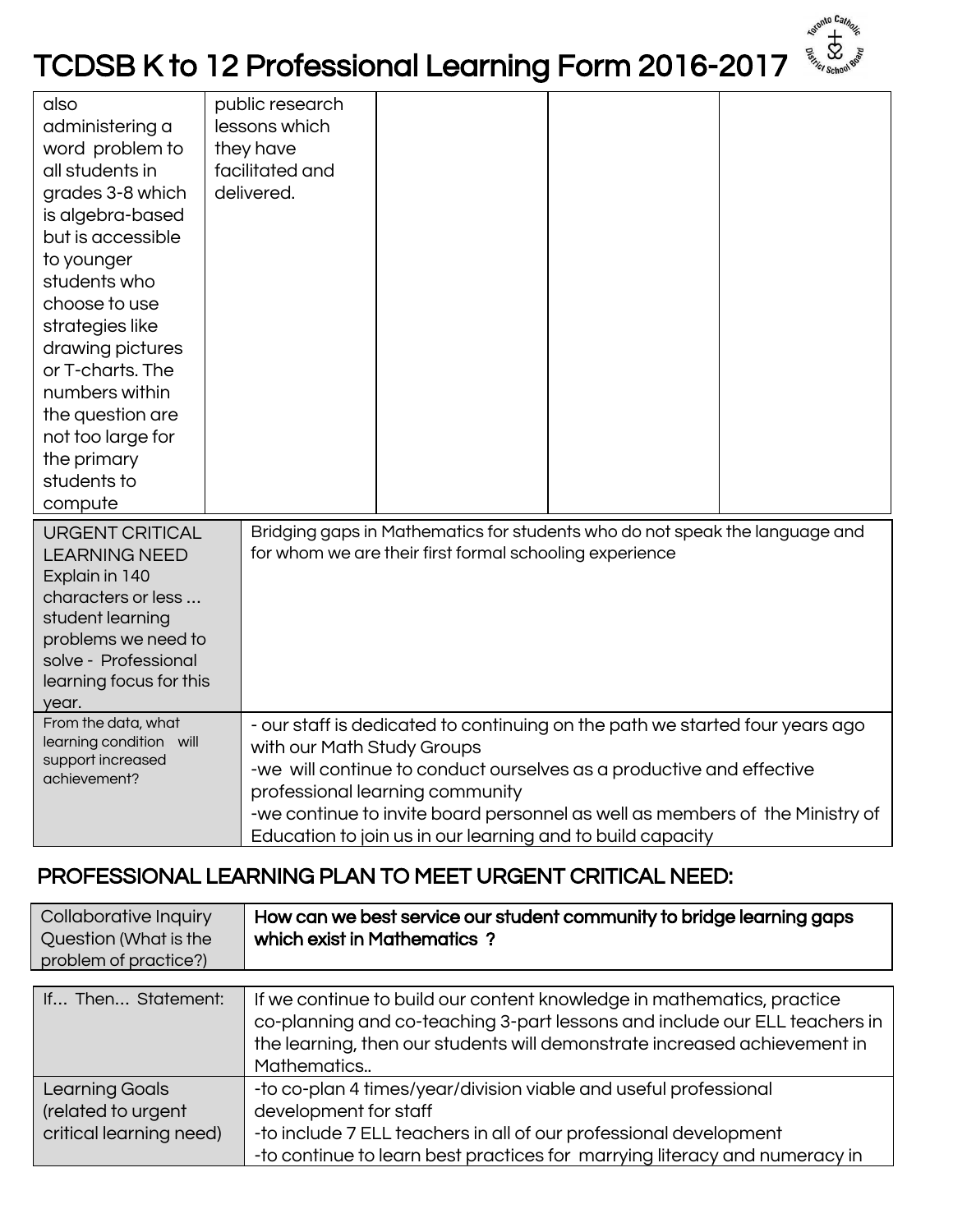## TCDSB K to 12 Professional Learning Form 2016-2017

nto Cata

| also<br>administering a<br>word problem to<br>all students in<br>grades 3-8 which<br>is algebra-based<br>but is accessible<br>to younger<br>students who<br>choose to use<br>strategies like<br>drawing pictures<br>or T-charts. The<br>numbers within<br>the question are<br>not too large for<br>the primary<br>students to |  | public research<br>lessons which<br>they have<br>facilitated and<br>delivered.                                                                                                                                                                                                                                                                                      |  |  |  |
|-------------------------------------------------------------------------------------------------------------------------------------------------------------------------------------------------------------------------------------------------------------------------------------------------------------------------------|--|---------------------------------------------------------------------------------------------------------------------------------------------------------------------------------------------------------------------------------------------------------------------------------------------------------------------------------------------------------------------|--|--|--|
| compute<br><b>URGENT CRITICAL</b><br><b>LEARNING NEED</b><br>Explain in 140<br>characters or less<br>student learning<br>problems we need to<br>solve - Professional<br>learning focus for this<br>year.<br>From the data, what<br>learning condition will<br>support increased<br>achievement?                               |  | Bridging gaps in Mathematics for students who do not speak the language and<br>for whom we are their first formal schooling experience                                                                                                                                                                                                                              |  |  |  |
|                                                                                                                                                                                                                                                                                                                               |  | - our staff is dedicated to continuing on the path we started four years ago<br>with our Math Study Groups<br>-we will continue to conduct ourselves as a productive and effective<br>professional learning community<br>-we continue to invite board personnel as well as members of the Ministry of<br>Education to join us in our learning and to build capacity |  |  |  |

## PROFESSIONAL LEARNING PLAN TO MEET URGENT CRITICAL NEED:

| Collaborative Inquiry<br>Question (What is the<br>problem of practice?) | How can we best service our student community to bridge learning gaps<br>which exist in Mathematics?                                                                                                                                             |
|-------------------------------------------------------------------------|--------------------------------------------------------------------------------------------------------------------------------------------------------------------------------------------------------------------------------------------------|
| If Then Statement:                                                      | If we continue to build our content knowledge in mathematics, practice<br>co-planning and co-teaching 3-part lessons and include our ELL teachers in<br>the learning, then our students will demonstrate increased achievement in<br>Mathematics |
| Learning Goals<br>(related to urgent<br>critical learning need)         | -to co-plan 4 times/year/division viable and useful professional<br>development for staff<br>-to include 7 ELL teachers in all of our professional development<br>-to continue to learn best practices for marrying literacy and numeracy in     |